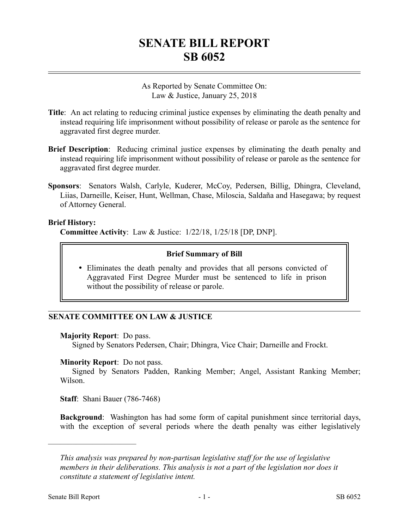# **SENATE BILL REPORT SB 6052**

As Reported by Senate Committee On: Law & Justice, January 25, 2018

- **Title**: An act relating to reducing criminal justice expenses by eliminating the death penalty and instead requiring life imprisonment without possibility of release or parole as the sentence for aggravated first degree murder.
- **Brief Description**: Reducing criminal justice expenses by eliminating the death penalty and instead requiring life imprisonment without possibility of release or parole as the sentence for aggravated first degree murder.
- **Sponsors**: Senators Walsh, Carlyle, Kuderer, McCoy, Pedersen, Billig, Dhingra, Cleveland, Liias, Darneille, Keiser, Hunt, Wellman, Chase, Miloscia, Saldaña and Hasegawa; by request of Attorney General.

### **Brief History:**

**Committee Activity**: Law & Justice: 1/22/18, 1/25/18 [DP, DNP].

### **Brief Summary of Bill**

 Eliminates the death penalty and provides that all persons convicted of Aggravated First Degree Murder must be sentenced to life in prison without the possibility of release or parole.

# **SENATE COMMITTEE ON LAW & JUSTICE**

### **Majority Report**: Do pass.

Signed by Senators Pedersen, Chair; Dhingra, Vice Chair; Darneille and Frockt.

### **Minority Report**: Do not pass.

Signed by Senators Padden, Ranking Member; Angel, Assistant Ranking Member; Wilson.

**Staff**: Shani Bauer (786-7468)

––––––––––––––––––––––

**Background**: Washington has had some form of capital punishment since territorial days, with the exception of several periods where the death penalty was either legislatively

*This analysis was prepared by non-partisan legislative staff for the use of legislative members in their deliberations. This analysis is not a part of the legislation nor does it constitute a statement of legislative intent.*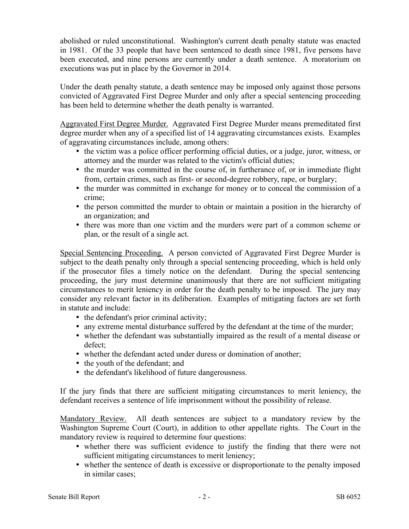abolished or ruled unconstitutional. Washington's current death penalty statute was enacted in 1981. Of the 33 people that have been sentenced to death since 1981, five persons have been executed, and nine persons are currently under a death sentence. A moratorium on executions was put in place by the Governor in 2014.

Under the death penalty statute, a death sentence may be imposed only against those persons convicted of Aggravated First Degree Murder and only after a special sentencing proceeding has been held to determine whether the death penalty is warranted.

Aggravated First Degree Murder. Aggravated First Degree Murder means premeditated first degree murder when any of a specified list of 14 aggravating circumstances exists. Examples of aggravating circumstances include, among others:

- the victim was a police officer performing official duties, or a judge, juror, witness, or attorney and the murder was related to the victim's official duties;
- the murder was committed in the course of, in furtherance of, or in immediate flight from, certain crimes, such as first- or second-degree robbery, rape, or burglary;
- the murder was committed in exchange for money or to conceal the commission of a crime;
- the person committed the murder to obtain or maintain a position in the hierarchy of an organization; and
- there was more than one victim and the murders were part of a common scheme or plan, or the result of a single act.

Special Sentencing Proceeding. A person convicted of Aggravated First Degree Murder is subject to the death penalty only through a special sentencing proceeding, which is held only if the prosecutor files a timely notice on the defendant. During the special sentencing proceeding, the jury must determine unanimously that there are not sufficient mitigating circumstances to merit leniency in order for the death penalty to be imposed. The jury may consider any relevant factor in its deliberation. Examples of mitigating factors are set forth in statute and include:

- the defendant's prior criminal activity;
- any extreme mental disturbance suffered by the defendant at the time of the murder;
- whether the defendant was substantially impaired as the result of a mental disease or defect;
- whether the defendant acted under duress or domination of another;
- the youth of the defendant; and
- the defendant's likelihood of future dangerousness.

If the jury finds that there are sufficient mitigating circumstances to merit leniency, the defendant receives a sentence of life imprisonment without the possibility of release.

Mandatory Review. All death sentences are subject to a mandatory review by the Washington Supreme Court (Court), in addition to other appellate rights. The Court in the mandatory review is required to determine four questions:

- whether there was sufficient evidence to justify the finding that there were not sufficient mitigating circumstances to merit leniency;
- whether the sentence of death is excessive or disproportionate to the penalty imposed in similar cases;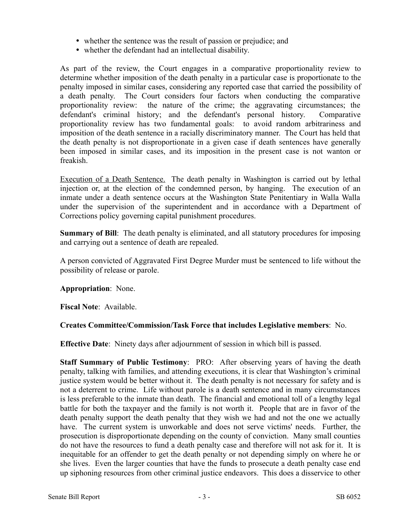- whether the sentence was the result of passion or prejudice; and
- whether the defendant had an intellectual disability.

As part of the review, the Court engages in a comparative proportionality review to determine whether imposition of the death penalty in a particular case is proportionate to the penalty imposed in similar cases, considering any reported case that carried the possibility of a death penalty. The Court considers four factors when conducting the comparative proportionality review: the nature of the crime; the aggravating circumstances; the defendant's criminal history; and the defendant's personal history. Comparative proportionality review has two fundamental goals: to avoid random arbitrariness and imposition of the death sentence in a racially discriminatory manner. The Court has held that the death penalty is not disproportionate in a given case if death sentences have generally been imposed in similar cases, and its imposition in the present case is not wanton or freakish.

Execution of a Death Sentence. The death penalty in Washington is carried out by lethal injection or, at the election of the condemned person, by hanging. The execution of an inmate under a death sentence occurs at the Washington State Penitentiary in Walla Walla under the supervision of the superintendent and in accordance with a Department of Corrections policy governing capital punishment procedures.

**Summary of Bill**: The death penalty is eliminated, and all statutory procedures for imposing and carrying out a sentence of death are repealed.

A person convicted of Aggravated First Degree Murder must be sentenced to life without the possibility of release or parole.

### **Appropriation**: None.

**Fiscal Note**: Available.

# **Creates Committee/Commission/Task Force that includes Legislative members**: No.

**Effective Date**: Ninety days after adjournment of session in which bill is passed.

**Staff Summary of Public Testimony**: PRO: After observing years of having the death penalty, talking with families, and attending executions, it is clear that Washington's criminal justice system would be better without it. The death penalty is not necessary for safety and is not a deterrent to crime. Life without parole is a death sentence and in many circumstances is less preferable to the inmate than death. The financial and emotional toll of a lengthy legal battle for both the taxpayer and the family is not worth it. People that are in favor of the death penalty support the death penalty that they wish we had and not the one we actually have. The current system is unworkable and does not serve victims' needs. Further, the prosecution is disproportionate depending on the county of conviction. Many small counties do not have the resources to fund a death penalty case and therefore will not ask for it. It is inequitable for an offender to get the death penalty or not depending simply on where he or she lives. Even the larger counties that have the funds to prosecute a death penalty case end up siphoning resources from other criminal justice endeavors. This does a disservice to other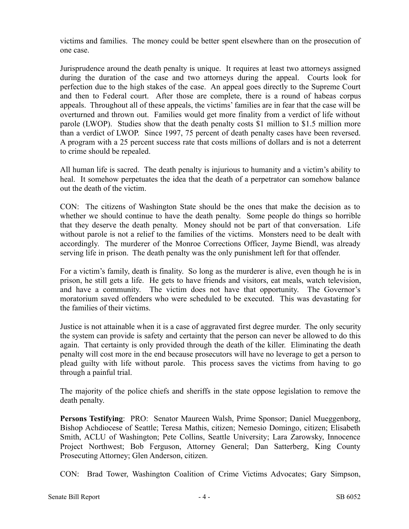victims and families. The money could be better spent elsewhere than on the prosecution of one case.

Jurisprudence around the death penalty is unique. It requires at least two attorneys assigned during the duration of the case and two attorneys during the appeal. Courts look for perfection due to the high stakes of the case. An appeal goes directly to the Supreme Court and then to Federal court. After those are complete, there is a round of habeas corpus appeals. Throughout all of these appeals, the victims' families are in fear that the case will be overturned and thrown out. Families would get more finality from a verdict of life without parole (LWOP). Studies show that the death penalty costs \$1 million to \$1.5 million more than a verdict of LWOP. Since 1997, 75 percent of death penalty cases have been reversed. A program with a 25 percent success rate that costs millions of dollars and is not a deterrent to crime should be repealed.

All human life is sacred. The death penalty is injurious to humanity and a victim's ability to heal. It somehow perpetuates the idea that the death of a perpetrator can somehow balance out the death of the victim.

CON: The citizens of Washington State should be the ones that make the decision as to whether we should continue to have the death penalty. Some people do things so horrible that they deserve the death penalty. Money should not be part of that conversation. Life without parole is not a relief to the families of the victims. Monsters need to be dealt with accordingly. The murderer of the Monroe Corrections Officer, Jayme Biendl, was already serving life in prison. The death penalty was the only punishment left for that offender.

For a victim's family, death is finality. So long as the murderer is alive, even though he is in prison, he still gets a life. He gets to have friends and visitors, eat meals, watch television, and have a community. The victim does not have that opportunity. The Governor's moratorium saved offenders who were scheduled to be executed. This was devastating for the families of their victims.

Justice is not attainable when it is a case of aggravated first degree murder. The only security the system can provide is safety and certainty that the person can never be allowed to do this again. That certainty is only provided through the death of the killer. Eliminating the death penalty will cost more in the end because prosecutors will have no leverage to get a person to plead guilty with life without parole. This process saves the victims from having to go through a painful trial.

The majority of the police chiefs and sheriffs in the state oppose legislation to remove the death penalty.

**Persons Testifying**: PRO: Senator Maureen Walsh, Prime Sponsor; Daniel Mueggenborg, Bishop Achdiocese of Seattle; Teresa Mathis, citizen; Nemesio Domingo, citizen; Elisabeth Smith, ACLU of Washington; Pete Collins, Seattle University; Lara Zarowsky, Innocence Project Northwest; Bob Ferguson, Attorney General; Dan Satterberg, King County Prosecuting Attorney; Glen Anderson, citizen.

CON: Brad Tower, Washington Coalition of Crime Victims Advocates; Gary Simpson,